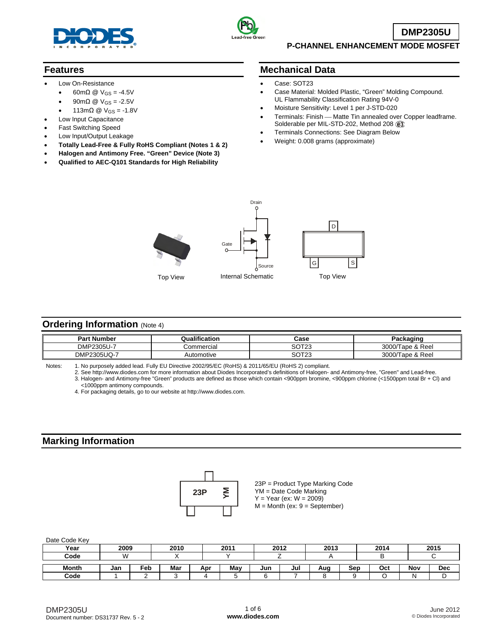



**DMP2305U**

## **P-CHANNEL ENHANCEMENT MODE MOSFET**

## **Features**

- Low On-Resistance
	- 60mΩ @  $V_{GS} = -4.5V$
	- 90mΩ @  $V_{GS} = -2.5V$
	- 113mΩ @  $V_{GS} = -1.8V$
- Low Input Capacitance
- Fast Switching Speed
- Low Input/Output Leakage
- **Totally Lead-Free & Fully RoHS Compliant (Notes 1 & 2)**
- **Halogen and Antimony Free. "Green" Device (Note 3)**
- **Qualified to AEC-Q101 Standards for High Reliability**

## **Mechanical Data**

- Case: SOT23
- Case Material: Molded Plastic, "Green" Molding Compound. UL Flammability Classification Rating 94V-0
- Moisture Sensitivity: Level 1 per J-STD-020
- Terminals: Finish Matte Tin annealed over Copper leadframe. Solderable per MIL-STD-202, Method 208 @3
- Terminals Connections: See Diagram Below
- Weight: 0.008 grams (approximate)





Drain



# **Ordering Information (Note 4)**

| <b>Part Number</b>    | Qualification | Case  | в.,<br>'ackaging       |
|-----------------------|---------------|-------|------------------------|
| <b>DMP</b><br>2305U-7 | Commercial    | SOT23 | 3000/Ta<br>Tape & Reel |
| DMP2305UQ-7           | Automotive    | SOT23 | 3000/Tape & Reel       |

| Notes: |  | 1. No purposely added lead. Fully EU Directive 2002/95/EC (RoHS) & 2011/65/EU (RoHS 2) compliant. |  |
|--------|--|---------------------------------------------------------------------------------------------------|--|
|        |  |                                                                                                   |  |

 2. See [http://www.diodes.com fo](http://www.diodes.com)r more information about Diodes Incorporated's definitions of Halogen- and Antimony-free, "Green" and Lead-free. 3. Halogen- and Antimony-free "Green" products are defined as those which contain <900ppm bromine, <900ppm chlorine (<1500ppm total Br + Cl) and <1000ppm antimony compounds.

4. For packaging details, go to our website at [http://www.diodes.com.](http://www.diodes.com)

## **Marking Information**



23P = Product Type Marking Code YM = Date Code Marking  $Y = Year (ex: W = 2009)$  $M =$  Month (ex:  $9 =$  September)

Date Code Key

| Year  | 2009 |     | 2010 |     | 2011 | 2012 |     | 2013 |     | 2014 |     | 2015       |
|-------|------|-----|------|-----|------|------|-----|------|-----|------|-----|------------|
| Code  | M    |     |      |     |      |      |     |      |     |      |     |            |
| Month | Jan  | Feb | Mar  | Apr | Mav  | Jun  | Jul | Aug  | Sep | Oct  | Nov | <b>Dec</b> |
| Code  |      |     |      |     |      |      |     |      |     |      |     |            |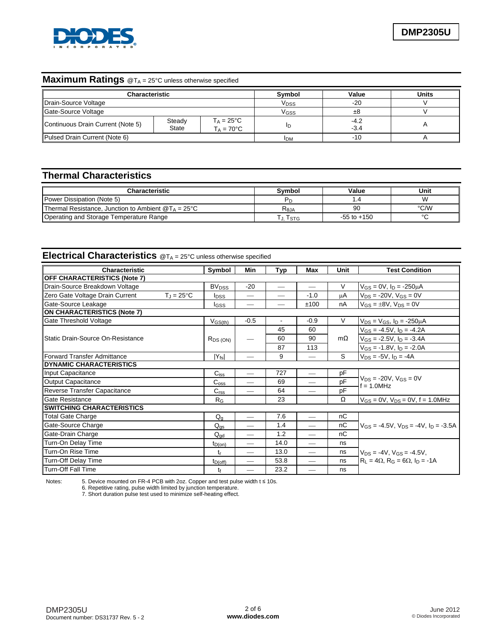

# **Maximum Ratings** @T<sub>A</sub> = 25°C unless otherwise specified

| Characteristic                    |                        |                                            | <b>Symbol</b>    | Value            | <b>Units</b> |
|-----------------------------------|------------------------|--------------------------------------------|------------------|------------------|--------------|
| Drain-Source Voltage              |                        |                                            | V <sub>DSS</sub> | $-20$            |              |
| Gate-Source Voltage               |                        | V <sub>GSS</sub>                           | ±8               |                  |              |
| Continuous Drain Current (Note 5) | Steady<br><b>State</b> | $T_A = 25^{\circ}C$<br>$T_A = 70^{\circ}C$ | ID               | $-4.2$<br>$-3.4$ |              |
| Pulsed Drain Current (Note 6)     |                        |                                            | <b>IDM</b>       | $-10$            |              |

# **Thermal Characteristics**

| <b>Characteristic</b>                                        | Svmbol         | Value           | Unit      |
|--------------------------------------------------------------|----------------|-----------------|-----------|
| <b>Power Dissipation (Note 5)</b>                            | P <sub>D</sub> | 1.4             | <b>VV</b> |
| Thermal Resistance, Junction to Ambient $@T_A = 25^{\circ}C$ | $R_{\theta$ JA | 90              | °C/W      |
| Operating and Storage Temperature Range                      | . I stg        | $-55$ to $+150$ | $\sim$    |

# **Electrical Characteristics** @TA = 25°C unless otherwise specified

| <b>Characteristic</b>               |                     | Symbol                  | Min                      | Typ    | Max                      | Unit      | <b>Test Condition</b>                             |
|-------------------------------------|---------------------|-------------------------|--------------------------|--------|--------------------------|-----------|---------------------------------------------------|
| <b>OFF CHARACTERISTICS (Note 7)</b> |                     |                         |                          |        |                          |           |                                                   |
| Drain-Source Breakdown Voltage      |                     | <b>BV<sub>DSS</sub></b> | $-20$                    |        |                          | $\vee$    | $V_{GS} = 0V$ , $I_D = -250 \mu A$                |
| Zero Gate Voltage Drain Current     | $T_J = 25^{\circ}C$ | <b>I</b> <sub>DSS</sub> |                          |        | $-1.0$                   | μA        | $V_{DS}$ = -20V, $V_{GS}$ = 0V                    |
| Gate-Source Leakage                 |                     | lgss                    | $\overline{\phantom{0}}$ |        | ±100                     | nA        | $V_{GS} = \pm 8V$ , $V_{DS} = 0V$                 |
| <b>ON CHARACTERISTICS (Note 7)</b>  |                     |                         |                          |        |                          |           |                                                   |
| Gate Threshold Voltage              |                     | $V_{GS(th)}$            | $-0.5$                   | $\sim$ | $-0.9$                   | $\vee$    | $V_{DS} = V_{GS}$ , $I_D = -250 \mu A$            |
|                                     |                     |                         |                          | 45     | 60                       |           | $V_{GS} = -4.5V$ , $I_D = -4.2A$                  |
| Static Drain-Source On-Resistance   |                     | $R_{DS(ON)}$            |                          | 60     | 90                       | $m\Omega$ | $V_{GS} = -2.5V$ , $I_D = -3.4A$                  |
|                                     |                     |                         |                          | 87     | 113                      |           | $V_{GS} = -1.8V$ , $I_D = -2.0A$                  |
| Forward Transfer Admittance         |                     | $ Y_{fs} $              |                          | 9      |                          | S         | $V_{DS} = -5V$ , $I_D = -4A$                      |
| <b>DYNAMIC CHARACTERISTICS</b>      |                     |                         |                          |        |                          |           |                                                   |
| Input Capacitance                   |                     | $C_{iss}$               |                          | 727    |                          | pF        |                                                   |
| Output Capacitance                  |                     | $\mathrm{C_{oss}}$      |                          | 69     |                          | pF        | $V_{DS} = -20V$ , $V_{GS} = 0V$<br>$f = 1.0$ MHz  |
| Reverse Transfer Capacitance        |                     | C <sub>rss</sub>        |                          | 64     |                          | pF        |                                                   |
| Gate Resistance                     |                     | $R_G$                   |                          | 23     |                          | $\Omega$  | $V_{GS} = 0V$ , $V_{DS} = 0V$ , f = 1.0MHz        |
| <b>SWITCHING CHARACTERISTICS</b>    |                     |                         |                          |        |                          |           |                                                   |
| <b>Total Gate Charge</b>            |                     | $Q_g$                   | $\overline{\phantom{m}}$ | 7.6    |                          | nC        |                                                   |
| Gate-Source Charge                  |                     | $Q_{\text{gs}}$         | $\overline{\phantom{0}}$ | 1.4    |                          | nC        | $V_{GS} = -4.5V$ , $V_{DS} = -4V$ , $I_D = -3.5A$ |
| Gate-Drain Charge                   |                     | $Q_{\text{ad}}$         | $\overline{\phantom{0}}$ | 1.2    |                          | nC        |                                                   |
| Turn-On Delay Time                  |                     | $t_{D(on)}$             | $\overline{\phantom{0}}$ | 14.0   |                          | ns        |                                                   |
| <b>Turn-On Rise Time</b>            |                     | tr                      | $\overline{\phantom{0}}$ | 13.0   |                          | ns        | $V_{DS} = -4V$ , $V_{GS} = -4.5V$ ,               |
| <b>Turn-Off Delay Time</b>          |                     | $t_{D(off)}$            |                          | 53.8   | $\overline{\phantom{0}}$ | ns        | $R_1 = 4\Omega$ , $R_G = 6\Omega$ , $I_D = -1A$   |
| Turn-Off Fall Time                  |                     | tŕ                      |                          | 23.2   |                          | ns        |                                                   |

Notes: 5. Device mounted on FR-4 PCB with 2oz. Copper and test pulse width t ≤ 10s. 6. Repetitive rating, pulse width limited by junction temperature.

7. Short duration pulse test used to minimize self-heating effect.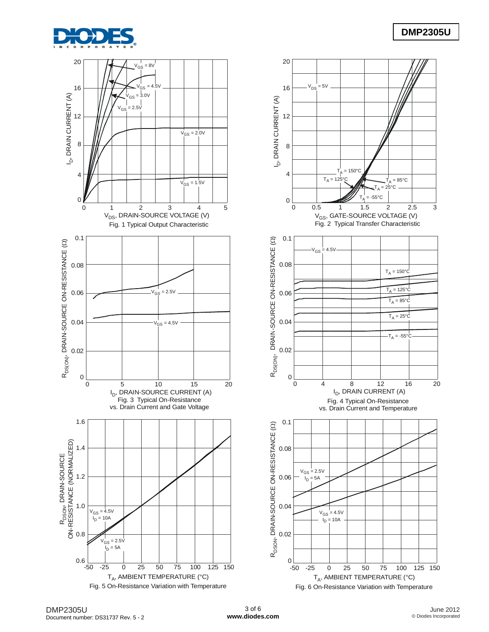



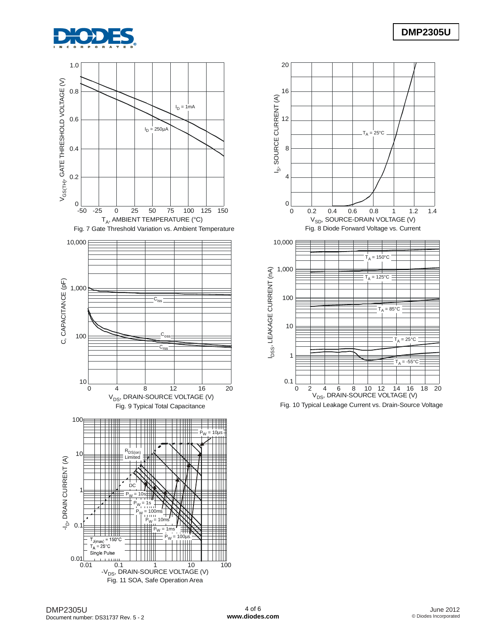





Fig. 10 Typical Leakage Current vs. Drain-Source Voltage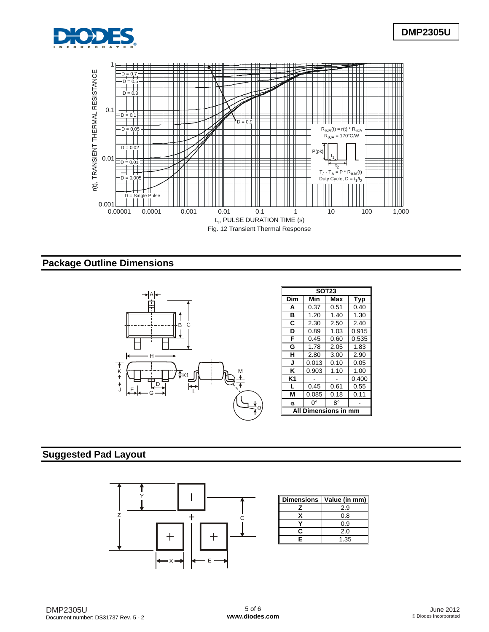



# **Package Outline Dimensions**



# **Suggested Pad Layout**



| <b>Dimensions</b> | Value (in mm) |
|-------------------|---------------|
|                   | 2.9           |
|                   | 0.8           |
|                   | 0.9           |
| r                 | 2.0           |
| F                 | 1.35          |